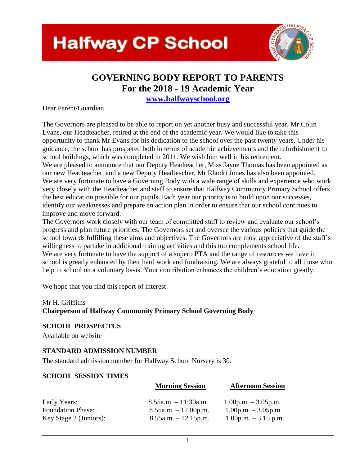## **Halfway CP School**



#### **GOVERNING BODY REPORT TO PARENTS For the 2018 - 19 Academic Year**

**[www.halfwayschool.org](http://www.halfwayschool.org/)** 

#### Dear Parent/Guardian

The Governors are pleased to be able to report on yet another busy and successful year. Mr Colin Evans, our Headteacher, retired at the end of the academic year. We would like to take this opportunity to thank Mr Evans for his dedication to the school over the past twenty years. Under his guidance, the school has prospered both in terms of academic achievements and the refurbishment to school buildings, which was completed in 2011. We wish him well in his retirement. We are pleased to announce that our Deputy Headteacher, Miss Jayne Thomas has been appointed as our new Headteacher, and a new Deputy Headteacher, Mr Rhodri Jones has also been appointed. We are very fortunate to have a Governing Body with a wide range of skills and experience who work very closely with the Headteacher and staff to ensure that Halfway Community Primary School offers the best education possible for our pupils. Each year our priority is to build upon our successes,

identify our weaknesses and prepare an action plan in order to ensure that our school continues to improve and move forward.

The Governors work closely with our team of committed staff to review and evaluate our school's progress and plan future priorities. The Governors set and oversee the various policies that guide the school towards fulfilling these aims and objectives. The Governors are most appreciative of the staff's willingness to partake in additional training activities and this too complements school life. We are very fortunate to have the support of a superb PTA and the range of resources we have in school is greatly enhanced by their hard work and fundraising. We are always grateful to all those who help in school on a voluntary basis. Your contribution enhances the children's education greatly.

We hope that you find this report of interest.

#### Mr H. Griffiths

#### **Chairperson of Halfway Community Primary School Governing Body**

#### **SCHOOL PROSPECTUS**

Available on website

#### **STANDARD ADMISSION NUMBER**

The standard admission number for Halfway School Nursery is 30.

#### **SCHOOL SESSION TIMES**

|                          | <b>Morning Session</b>    | <b>Afternoon Session</b> |
|--------------------------|---------------------------|--------------------------|
| Early Years:             | $8.55$ a.m. $-11:30$ a.m. | $1.00$ p.m. $-3.05$ p.m. |
| <b>Foundation Phase:</b> | $8.55a.m. - 12.00p.m.$    | $1.00$ p.m. $-3.05$ p.m. |
| Key Stage 2 (Juniors):   | $8.55a.m. - 12.15p.m.$    | $1.00$ p.m. $-3.15$ p.m. |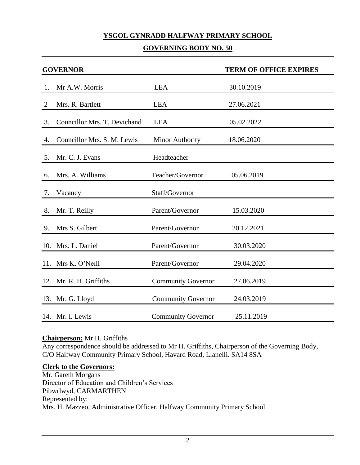#### **YSGOL GYNRADD HALFWAY PRIMARY SCHOOL**

#### **GOVERNING BODY NO. 50**

|    | <b>GOVERNOR</b>              |                           | <b>TERM OF OFFICE EXPIRES</b> |
|----|------------------------------|---------------------------|-------------------------------|
| 1. | Mr A.W. Morris               | <b>LEA</b>                | 30.10.2019                    |
| 2  | Mrs. R. Bartlett             | <b>LEA</b>                | 27.06.2021                    |
| 3. | Councillor Mrs. T. Devichand | <b>LEA</b>                | 05.02.2022                    |
| 4. | Councillor Mrs. S. M. Lewis  | <b>Minor Authority</b>    | 18.06.2020                    |
| 5. | Mr. C. J. Evans              | Headteacher               |                               |
| 6. | Mrs. A. Williams             | Teacher/Governor          | 05.06.2019                    |
| 7. | Vacancy                      | Staff/Governor            |                               |
|    | 8. Mr. T. Reilly             | Parent/Governor           | 15.03.2020                    |
| 9. | Mrs S. Gilbert               | Parent/Governor           | 20.12.2021                    |
|    | 10. Mrs. L. Daniel           | Parent/Governor           | 30.03.2020                    |
|    | 11. Mrs K. O'Neill           | Parent/Governor           | 29.04.2020                    |
|    | 12. Mr. R. H. Griffiths      | <b>Community Governor</b> | 27.06.2019                    |
|    | 13. Mr. G. Lloyd             | <b>Community Governor</b> | 24.03.2019                    |
|    | 14. Mr. I. Lewis             | <b>Community Governor</b> | 25.11.2019                    |

#### **Chairperson:** Mr H. Griffiths

Any correspondence should be addressed to Mr H. Griffiths, Chairperson of the Governing Body, C/O Halfway Community Primary School, Havard Road, Llanelli. SA14 8SA

#### **Clerk to the Governors:**

Mr. Gareth Morgans Director of Education and Children's Services Pibwrlwyd, CARMARTHEN Represented by: Mrs. H. Mazzeo, Administrative Officer, Halfway Community Primary School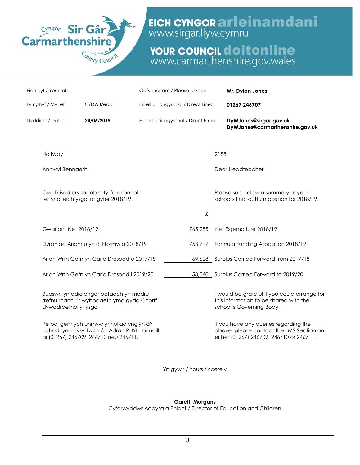

## EICH CYNGOR arleinamdani

# **YOUR COUNCIL doitonline**<br>www.carmarthenshire.gov.wales

| Eich cyf / Your ref:   |                                                                                                                                      | Gofynner am / Please ask for:        |           |      | Mr. Dylan Jones                                                                                                               |
|------------------------|--------------------------------------------------------------------------------------------------------------------------------------|--------------------------------------|-----------|------|-------------------------------------------------------------------------------------------------------------------------------|
| Fy nghyf / My ref:     | C/DWJ/ead                                                                                                                            | Llinell Uniongyrchol / Direct Line:  |           |      | 01267 246707                                                                                                                  |
| Dyddiad / Date:        | 24/06/2019                                                                                                                           | E-bost Uniongyrchol / Direct E-mail: |           |      | DyWJones@sirgar.gov.uk<br>DyWJones@carmarthenshire.gov.uk                                                                     |
| Halfway                |                                                                                                                                      |                                      |           | 2188 |                                                                                                                               |
| Annwyl Bennaeth        |                                                                                                                                      |                                      |           |      | Dear Headteacher                                                                                                              |
|                        | Gwelir isod crynodeb sefyllfa ariannol<br>terfynol eich ysgol ar gyfer 2018/19.                                                      |                                      |           |      | Please see below a summary of your<br>school's final outturn position for 2018/19.                                            |
|                        |                                                                                                                                      |                                      | $\pounds$ |      |                                                                                                                               |
| Gwariant Net 2018/19   |                                                                                                                                      |                                      | 765,285   |      | Net Expenditure 2018/19                                                                                                       |
|                        | Dyraniad Ariannu yn ôl Fformwla 2018/19                                                                                              |                                      | 753,717   |      | Formula Funding Allocation 2018/19                                                                                            |
|                        | Arian Wrth Gefn yn Cario Drosodd o 2017/18                                                                                           |                                      |           |      | -69,628 Surplus Carried Forward from 2017/18                                                                                  |
|                        | Arian Wrth Gefn yn Cario Drosodd i 2019/20                                                                                           |                                      |           |      | -58,060 Surplus Carried Forward to 2019/20                                                                                    |
| Llywodraethol yr ysgol | Buaswn yn ddiolchgar petaech yn medru<br>trefnu rhannu'r wybodaeth yma gyda Chorff                                                   |                                      |           |      | I would be grateful if you could arrange for<br>this information to be shared with the<br>school's Governing Body.            |
|                        | Pe bai gennych unrhyw ynholiad ynglŷn â'r<br>uchod, yna cysylltwch â'r Adran RHYLL ar naill<br>ai (01267) 246709, 246710 neu 246711. |                                      |           |      | If you have any queries regarding the<br>above, please contact the LMS Section on<br>either (01267) 246709, 246710 or 246711. |

Yn gywir / Yours sincerely

#### **Gareth Morgans**

Cyfarwyddwr Addysg a Phlant / Director of Education and Children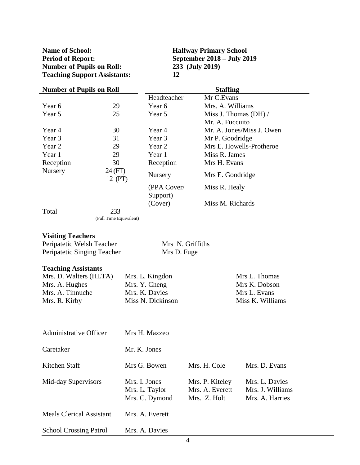**Name of School: Halfway Primary School Period of Report: September 2018 – July 2019**<br> **Number of Pupils on Roll:** 233 (July 2019) **Number of Pupils on Roll: Teaching Support Assistants: 12**

| <b>Number of Pupils on Roll</b> |                   |             | <b>Staffing</b>           |
|---------------------------------|-------------------|-------------|---------------------------|
|                                 |                   | Headteacher | Mr C.Evans                |
| Year 6                          | 29                | Year 6      | Mrs. A. Williams          |
| Year 5                          | 25                | Year 5      | Miss J. Thomas $(DH) /$   |
|                                 |                   |             | Mr. A. Fuccuito           |
| Year 4                          | 30                | Year 4      | Mr. A. Jones/Miss J. Owen |
| Year 3                          | 31                | Year 3      | Mr P. Goodridge           |
| Year 2                          | 29                | Year 2      | Mrs E. Howells-Protheroe  |
| Year 1                          | 29                | Year 1      | Miss R. James             |
| Reception                       | 30                | Reception   | Mrs H. Evans              |
| Nursery                         | 24(FT)<br>12 (PT) | Nursery     | Mrs E. Goodridge          |
|                                 |                   | (PPA Cover/ | Miss R. Healy             |
|                                 |                   | Support)    |                           |
|                                 |                   | (Cover)     | Miss M. Richards          |
| Total                           | 233               |             |                           |

(Full Time Equivalent)

#### **Visiting Teachers**

| Peripatetic Welsh Teacher   | Mrs N. Griffiths |
|-----------------------------|------------------|
| Peripatetic Singing Teacher | Mrs D. Fuge      |

#### **Teaching Assistants**

| Mrs. D. Walters (HLTA) | Mrs. L. Kingdon   | Mrs L. Thomas    |
|------------------------|-------------------|------------------|
| Mrs. A. Hughes         | Mrs. Y. Cheng     | Mrs K. Dobson    |
| Mrs. A. Tinnuche       | Mrs. K. Davies    | Mrs L. Evans     |
| Mrs. R. Kirby          | Miss N. Dickinson | Miss K. Williams |

| <b>Administrative Officer</b>   | Mrs H. Mazzeo                                     |                                                    |                                                       |
|---------------------------------|---------------------------------------------------|----------------------------------------------------|-------------------------------------------------------|
| Caretaker                       | Mr. K. Jones                                      |                                                    |                                                       |
| Kitchen Staff                   | Mrs G. Bowen                                      | Mrs. H. Cole                                       | Mrs. D. Evans                                         |
| Mid-day Supervisors             | Mrs. I. Jones<br>Mrs. L. Taylor<br>Mrs. C. Dymond | Mrs. P. Kiteley<br>Mrs. A. Everett<br>Mrs. Z. Holt | Mrs. L. Davies<br>Mrs. J. Williams<br>Mrs. A. Harries |
| <b>Meals Clerical Assistant</b> | Mrs. A. Everett                                   |                                                    |                                                       |
| <b>School Crossing Patrol</b>   | Mrs. A. Davies                                    |                                                    |                                                       |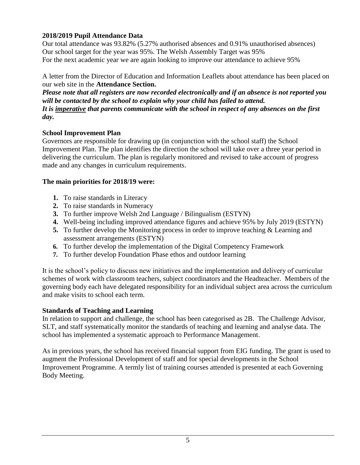#### **2018/2019 Pupil Attendance Data**

Our total attendance was 93.82% (5.27% authorised absences and 0.91% unauthorised absences) Our school target for the year was 95%. The Welsh Assembly Target was 95% For the next academic year we are again looking to improve our attendance to achieve 95%

A letter from the Director of Education and Information Leaflets about attendance has been placed on our web site in the **Attendance Section.**

*Please note that all registers are now recorded electronically and if an absence is not reported you will be contacted by the school to explain why your child has failed to attend. It is imperative that parents communicate with the school in respect of any absences on the first day.*

#### **School Improvement Plan**

Governors are responsible for drawing up (in conjunction with the school staff) the School Improvement Plan. The plan identifies the direction the school will take over a three year period in delivering the curriculum. The plan is regularly monitored and revised to take account of progress made and any changes in curriculum requirements.

#### **The main priorities for 2018/19 were:**

- **1.** To raise standards in Literacy
- **2.** To raise standards in Numeracy
- **3.** To further improve Welsh 2nd Language / Bilingualism (ESTYN)
- **4.** Well-being including improved attendance figures and achieve 95% by July 2019 (ESTYN)
- **5.** To further develop the Monitoring process in order to improve teaching & Learning and assessment arrangements (ESTYN)
- **6.** To further develop the implementation of the Digital Competency Framework
- **7.** To further develop Foundation Phase ethos and outdoor learning

It is the school's policy to discuss new initiatives and the implementation and delivery of curricular schemes of work with classroom teachers, subject coordinators and the Headteacher. Members of the governing body each have delegated responsibility for an individual subject area across the curriculum and make visits to school each term.

#### **Standards of Teaching and Learning**

In relation to support and challenge, the school has been categorised as 2B. The Challenge Advisor, SLT, and staff systematically monitor the standards of teaching and learning and analyse data. The school has implemented a systematic approach to Performance Management.

As in previous years, the school has received financial support from EIG funding. The grant is used to augment the Professional Development of staff and for special developments in the School Improvement Programme. A termly list of training courses attended is presented at each Governing Body Meeting.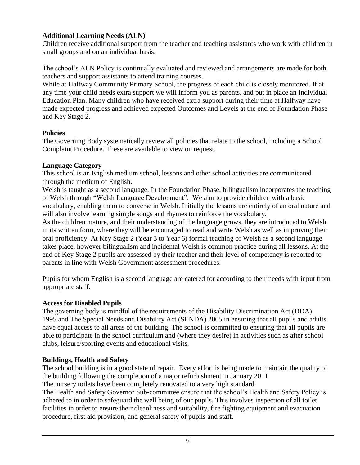#### **Additional Learning Needs (ALN)**

Children receive additional support from the teacher and teaching assistants who work with children in small groups and on an individual basis.

The school's ALN Policy is continually evaluated and reviewed and arrangements are made for both teachers and support assistants to attend training courses.

While at Halfway Community Primary School, the progress of each child is closely monitored. If at any time your child needs extra support we will inform you as parents, and put in place an Individual Education Plan. Many children who have received extra support during their time at Halfway have made expected progress and achieved expected Outcomes and Levels at the end of Foundation Phase and Key Stage 2.

#### **Policies**

The Governing Body systematically review all policies that relate to the school, including a School Complaint Procedure. These are available to view on request.

#### **Language Category**

This school is an English medium school, lessons and other school activities are communicated through the medium of English.

Welsh is taught as a second language. In the Foundation Phase, bilingualism incorporates the teaching of Welsh through "Welsh Language Development". We aim to provide children with a basic vocabulary, enabling them to converse in Welsh. Initially the lessons are entirely of an oral nature and will also involve learning simple songs and rhymes to reinforce the vocabulary.

As the children mature, and their understanding of the language grows, they are introduced to Welsh in its written form, where they will be encouraged to read and write Welsh as well as improving their oral proficiency. At Key Stage 2 (Year 3 to Year 6) formal teaching of Welsh as a second language takes place, however bilingualism and incidental Welsh is common practice during all lessons. At the end of Key Stage 2 pupils are assessed by their teacher and their level of competency is reported to parents in line with Welsh Government assessment procedures.

Pupils for whom English is a second language are catered for according to their needs with input from appropriate staff.

#### **Access for Disabled Pupils**

The governing body is mindful of the requirements of the Disability Discrimination Act (DDA) 1995 and The Special Needs and Disability Act (SENDA) 2005 in ensuring that all pupils and adults have equal access to all areas of the building. The school is committed to ensuring that all pupils are able to participate in the school curriculum and (where they desire) in activities such as after school clubs, leisure/sporting events and educational visits.

#### **Buildings, Health and Safety**

The school building is in a good state of repair. Every effort is being made to maintain the quality of the building following the completion of a major refurbishment in January 2011.

The nursery toilets have been completely renovated to a very high standard.

The Health and Safety Governor Sub-committee ensure that the school's Health and Safety Policy is adhered to in order to safeguard the well being of our pupils. This involves inspection of all toilet facilities in order to ensure their cleanliness and suitability, fire fighting equipment and evacuation procedure, first aid provision, and general safety of pupils and staff.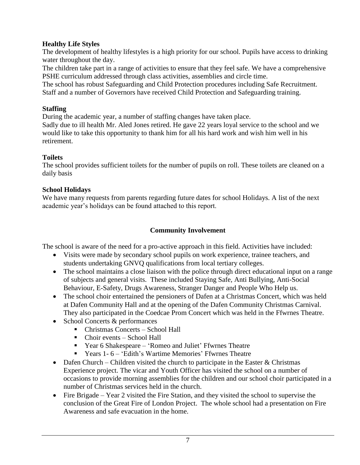#### **Healthy Life Styles**

The development of healthy lifestyles is a high priority for our school. Pupils have access to drinking water throughout the day.

The children take part in a range of activities to ensure that they feel safe. We have a comprehensive PSHE curriculum addressed through class activities, assemblies and circle time.

The school has robust Safeguarding and Child Protection procedures including Safe Recruitment. Staff and a number of Governors have received Child Protection and Safeguarding training.

#### **Staffing**

During the academic year, a number of staffing changes have taken place.

Sadly due to ill health Mr. Aled Jones retired. He gave 22 years loyal service to the school and we would like to take this opportunity to thank him for all his hard work and wish him well in his retirement.

#### **Toilets**

The school provides sufficient toilets for the number of pupils on roll. These toilets are cleaned on a daily basis

#### **School Holidays**

We have many requests from parents regarding future dates for school Holidays. A list of the next academic year's holidays can be found attached to this report.

#### **Community Involvement**

The school is aware of the need for a pro-active approach in this field. Activities have included:

- Visits were made by secondary school pupils on work experience, trainee teachers, and students undertaking GNVQ qualifications from local tertiary colleges.
- The school maintains a close liaison with the police through direct educational input on a range of subjects and general visits. These included Staying Safe, Anti Bullying, Anti-Social Behaviour, E-Safety, Drugs Awareness, Stranger Danger and People Who Help us.
- The school choir entertained the pensioners of Dafen at a Christmas Concert, which was held at Dafen Community Hall and at the opening of the Dafen Community Christmas Carnival. They also participated in the Coedcae Prom Concert which was held in the Ffwrnes Theatre.
- School Concerts & performances
	- Christmas Concerts School Hall
	- Choir events School Hall
	- Year 6 Shakespeare 'Romeo and Juliet' Ffwrnes Theatre
	- Years 1- 6 'Edith's Wartime Memories' Ffwrnes Theatre
- Dafen Church Children visited the church to participate in the Easter  $&$  Christmas Experience project. The vicar and Youth Officer has visited the school on a number of occasions to provide morning assemblies for the children and our school choir participated in a number of Christmas services held in the church.
- Fire Brigade Year 2 visited the Fire Station, and they visited the school to supervise the conclusion of the Great Fire of London Project. The whole school had a presentation on Fire Awareness and safe evacuation in the home.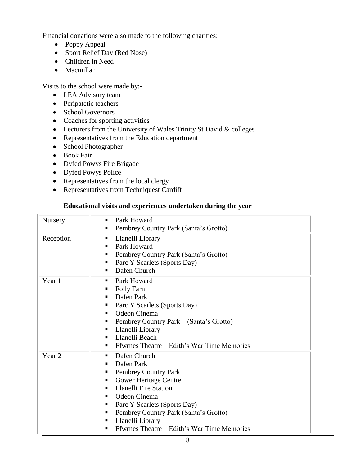Financial donations were also made to the following charities:

- Poppy Appeal
- Sport Relief Day (Red Nose)
- Children in Need
- Macmillan

Visits to the school were made by:-

- LEA Advisory team
- Peripatetic teachers
- School Governors
- Coaches for sporting activities
- Lecturers from the University of Wales Trinity St David & colleges
- Representatives from the Education department
- School Photographer
- Book Fair
- Dyfed Powys Fire Brigade
- Dyfed Powys Police
- Representatives from the local clergy
- Representatives from Techniquest Cardiff

#### **Educational visits and experiences undertaken during the year**

| Nursery           | Park Howard<br>٠<br>Pembrey Country Park (Santa's Grotto)<br>٠                                                                                                                                                                                                                                                                   |
|-------------------|----------------------------------------------------------------------------------------------------------------------------------------------------------------------------------------------------------------------------------------------------------------------------------------------------------------------------------|
| Reception         | Llanelli Library<br>ш<br>Park Howard<br>п<br>Pembrey Country Park (Santa's Grotto)<br>п<br>Parc Y Scarlets (Sports Day)<br>ш<br>Dafen Church<br>٠                                                                                                                                                                                |
| Year 1            | Park Howard<br>٠<br><b>Folly Farm</b><br>п<br>Dafen Park<br>Parc Y Scarlets (Sports Day)<br>٠<br>Odeon Cinema<br>٠<br>Pembrey Country Park – (Santa's Grotto)<br>п<br>Llanelli Library<br>п<br>Llanelli Beach<br>٠<br>Ffwrnes Theatre – Edith's War Time Memories<br>٠                                                           |
| Year <sub>2</sub> | Dafen Church<br>٠<br>Dafen Park<br>٠<br>Pembrey Country Park<br>п<br><b>Gower Heritage Centre</b><br>٠<br><b>Llanelli Fire Station</b><br>٠<br>Odeon Cinema<br>٠<br>Parc Y Scarlets (Sports Day)<br>٠<br>Pembrey Country Park (Santa's Grotto)<br>٠<br>Llanelli Library<br>٠<br>Ffwrnes Theatre - Edith's War Time Memories<br>٠ |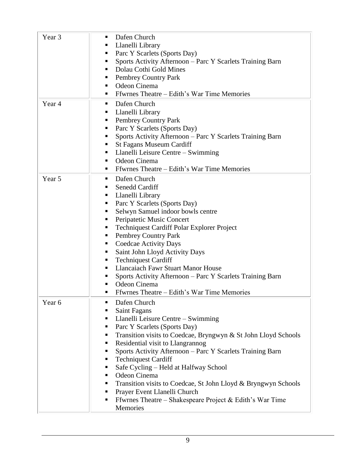| Year 3 | Dafen Church<br>п<br>Llanelli Library<br>п<br>Parc Y Scarlets (Sports Day)<br>п<br>Sports Activity Afternoon - Parc Y Scarlets Training Barn<br>٠<br>Dolau Cothi Gold Mines<br>٠<br>Pembrey Country Park<br>٠<br>Odeon Cinema<br>ш<br>Ffwrnes Theatre – Edith's War Time Memories<br>٠                                                                                                                                                                                                                                                                                                                  |
|--------|---------------------------------------------------------------------------------------------------------------------------------------------------------------------------------------------------------------------------------------------------------------------------------------------------------------------------------------------------------------------------------------------------------------------------------------------------------------------------------------------------------------------------------------------------------------------------------------------------------|
| Year 4 | Dafen Church<br>п<br>Llanelli Library<br>п<br><b>Pembrey Country Park</b><br>п<br>Parc Y Scarlets (Sports Day)<br>п<br>Sports Activity Afternoon - Parc Y Scarlets Training Barn<br>п<br>St Fagans Museum Cardiff<br>п<br>Llanelli Leisure Centre – Swimming<br>٠<br>Odeon Cinema<br>٠<br>Ffwrnes Theatre – Edith's War Time Memories<br>ш                                                                                                                                                                                                                                                              |
| Year 5 | Dafen Church<br>ш<br>Senedd Cardiff<br>٠<br>Llanelli Library<br>п<br>Parc Y Scarlets (Sports Day)<br>п<br>Selwyn Samuel indoor bowls centre<br>п<br>Peripatetic Music Concert<br>٠<br>Techniquest Cardiff Polar Explorer Project<br>п<br>Pembrey Country Park<br>п<br>Coedcae Activity Days<br>п<br>Saint John Lloyd Activity Days<br>٠<br><b>Techniquest Cardiff</b><br>п<br><b>Llancaiach Fawr Stuart Manor House</b><br>п<br>Sports Activity Afternoon - Parc Y Scarlets Training Barn<br>Odeon Cinema<br>Ffwrnes Theatre – Edith's War Time Memories<br>п                                           |
| Year 6 | Dafen Church<br>п<br>Saint Fagans<br>ш<br>Llanelli Leisure Centre - Swimming<br>п<br>Parc Y Scarlets (Sports Day)<br>п<br>Transition visits to Coedcae, Bryngwyn & St John Lloyd Schools<br>٠<br>Residential visit to Llangrannog<br>п<br>Sports Activity Afternoon - Parc Y Scarlets Training Barn<br>п<br><b>Techniquest Cardiff</b><br>п<br>Safe Cycling – Held at Halfway School<br>٠<br>Odeon Cinema<br>٠<br>Transition visits to Coedcae, St John Lloyd & Bryngwyn Schools<br>٠<br>Prayer Event Llanelli Church<br>٠<br>Ffwrnes Theatre – Shakespeare Project & Edith's War Time<br>п<br>Memories |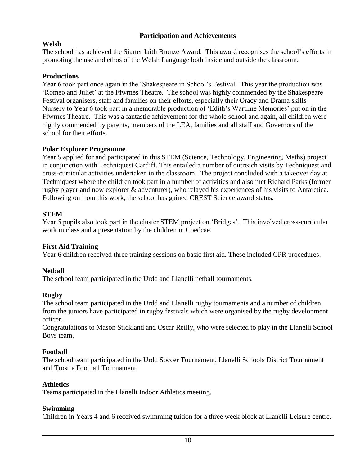#### **Participation and Achievements**

#### **Welsh**

The school has achieved the Siarter Iaith Bronze Award. This award recognises the school's efforts in promoting the use and ethos of the Welsh Language both inside and outside the classroom.

#### **Productions**

Year 6 took part once again in the 'Shakespeare in School's Festival. This year the production was 'Romeo and Juliet' at the Ffwrnes Theatre. The school was highly commended by the Shakespeare Festival organisers, staff and families on their efforts, especially their Oracy and Drama skills Nursery to Year 6 took part in a memorable production of 'Edith's Wartime Memories' put on in the Ffwrnes Theatre. This was a fantastic achievement for the whole school and again, all children were highly commended by parents, members of the LEA, families and all staff and Governors of the school for their efforts.

#### **Polar Explorer Programme**

Year 5 applied for and participated in this STEM (Science, Technology, Engineering, Maths) project in conjunction with Techniquest Cardiff. This entailed a number of outreach visits by Techniquest and cross-curricular activities undertaken in the classroom. The project concluded with a takeover day at Techniquest where the children took part in a number of activities and also met Richard Parks (former rugby player and now explorer & adventurer), who relayed his experiences of his visits to Antarctica. Following on from this work, the school has gained CREST Science award status.

#### **STEM**

Year 5 pupils also took part in the cluster STEM project on 'Bridges'. This involved cross-curricular work in class and a presentation by the children in Coedcae.

#### **First Aid Training**

Year 6 children received three training sessions on basic first aid. These included CPR procedures.

#### **Netball**

The school team participated in the Urdd and Llanelli netball tournaments.

#### **Rugby**

The school team participated in the Urdd and Llanelli rugby tournaments and a number of children from the juniors have participated in rugby festivals which were organised by the rugby development officer.

Congratulations to Mason Stickland and Oscar Reilly, who were selected to play in the Llanelli School Boys team.

#### **Football**

The school team participated in the Urdd Soccer Tournament, Llanelli Schools District Tournament and Trostre Football Tournament.

#### **Athletics**

Teams participated in the Llanelli Indoor Athletics meeting.

#### **Swimming**

Children in Years 4 and 6 received swimming tuition for a three week block at Llanelli Leisure centre.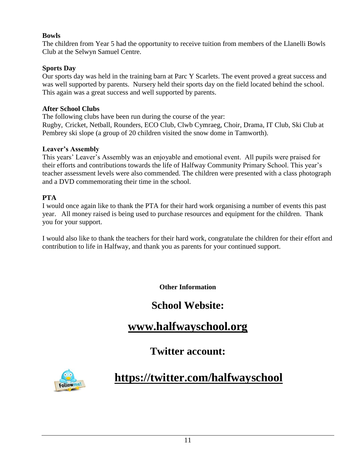#### **Bowls**

The children from Year 5 had the opportunity to receive tuition from members of the Llanelli Bowls Club at the Selwyn Samuel Centre.

#### **Sports Day**

Our sports day was held in the training barn at Parc Y Scarlets. The event proved a great success and was well supported by parents. Nursery held their sports day on the field located behind the school. This again was a great success and well supported by parents.

#### **After School Clubs**

The following clubs have been run during the course of the year:

Rugby, Cricket, Netball, Rounders, ECO Club, Clwb Cymraeg, Choir, Drama, IT Club, Ski Club at Pembrey ski slope (a group of 20 children visited the snow dome in Tamworth).

#### **Leaver's Assembly**

This years' Leaver's Assembly was an enjoyable and emotional event. All pupils were praised for their efforts and contributions towards the life of Halfway Community Primary School. This year's teacher assessment levels were also commended. The children were presented with a class photograph and a DVD commemorating their time in the school.

#### **PTA**

I would once again like to thank the PTA for their hard work organising a number of events this past year. All money raised is being used to purchase resources and equipment for the children. Thank you for your support.

I would also like to thank the teachers for their hard work, congratulate the children for their effort and contribution to life in Halfway, and thank you as parents for your continued support.

**Other Information**

## **School Website:**

## **[www.halfwayschool.org](http://www.halfwayschool.org/)**

### **Twitter account:**



## **<https://twitter.com/halfwayschool>**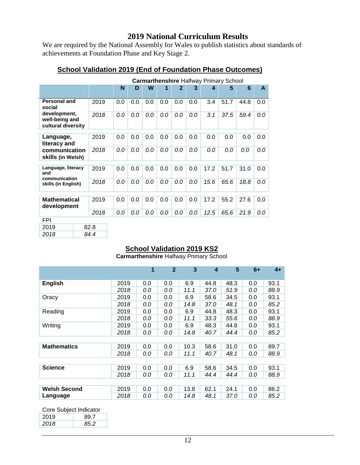#### **2019 National Curriculum Results**

We are required by the National Assembly for Wales to publish statistics about standards of achievements at Foundation Phase and Key Stage 2.

|                                                      | <b>Carmarthenshire Halfway Primary School</b> |      |     |     |     |     |     |     |      |      |      |     |
|------------------------------------------------------|-----------------------------------------------|------|-----|-----|-----|-----|-----|-----|------|------|------|-----|
|                                                      |                                               |      | N   | D   | W   | 1   | 2   | 3   | 4    | 5    | 6    | A   |
| Personal and<br>social                               |                                               | 2019 | 0.0 | 0.0 | 0.0 | 0.0 | 0.0 | 0.0 | 3.4  | 51.7 | 44.8 | 0.0 |
| development,<br>well-being and<br>cultural diversity |                                               | 2018 | 0.0 | 0.0 | 0.0 | 0.0 | 0.0 | 0.0 | 3.1  | 37.5 | 59.4 | 0.0 |
| Language,<br>literacy and                            |                                               | 2019 | 0.0 | 0.0 | 0.0 | 0.0 | 0.0 | 0.0 | 0.0  | 0.0  | 0.0  | 0.0 |
| communication<br>skills (in Welsh)                   |                                               | 2018 | 0.0 | 0.0 | 0.0 | 0.0 | 0.0 | 0.0 | 0.0  | 0.0  | 0.0  | 0.0 |
| Language, literacy<br>and                            |                                               | 2019 | 0.0 | 0.0 | 0.0 | 0.0 | 0.0 | 0.0 | 17.2 | 51.7 | 31.0 | 0.0 |
| communication<br>skills (in English)                 |                                               | 2018 | 0.0 | 0.0 | 0.0 | 0.0 | 0.0 | 0.0 | 15.6 | 65.6 | 18.8 | 0.0 |
| <b>Mathematical</b><br>development                   |                                               | 2019 | 0.0 | 0.0 | 0.0 | 0.0 | 0.0 | 0.0 | 17.2 | 55.2 | 27.6 | 0.0 |
|                                                      |                                               | 2018 | 0.0 | 0.0 | 0.0 | 0.0 | 0.0 | 0.0 | 12.5 | 65.6 | 21.9 | 0.0 |
| <b>FPI</b>                                           |                                               |      |     |     |     |     |     |     |      |      |      |     |
| 2019                                                 |                                               | 82.8 |     |     |     |     |     |     |      |      |      |     |
| 2018                                                 |                                               | 84.4 |     |     |     |     |     |     |      |      |      |     |

#### **School Validation 2019 (End of Foundation Phase Outcomes)**

#### **School Validation 2019 KS2**

**Carmarthenshire** Halfway Primary School

|                     |      | $\blacktriangleleft$ | $\overline{2}$ | 3    | $\boldsymbol{4}$ | 5    | $6+$ | $4+$ |
|---------------------|------|----------------------|----------------|------|------------------|------|------|------|
| <b>English</b>      | 2019 | 0.0                  | 0.0            | 6.9  | 44.8             | 48.3 | 0.0  | 93.1 |
|                     | 2018 | 0.0                  | 0.0            | 11.1 | 37.0             | 51.9 | 0.0  | 88.9 |
| Oracy               | 2019 | 0.0                  | 0.0            | 6.9  | 58.6             | 34.5 | 0.0  | 93.1 |
|                     | 2018 | 0.0                  | 0.0            | 14.8 | 37.0             | 48.1 | 0.0  | 85.2 |
| Reading             | 2019 | 0.0                  | 0.0            | 6.9  | 44.8             | 48.3 | 0.0  | 93.1 |
|                     | 2018 | 0.0                  | 0.0            | 11.1 | 33.3             | 55.6 | 0.0  | 88.9 |
| Writing             | 2019 | 0.0                  | 0.0            | 6.9  | 48.3             | 44.8 | 0.0  | 93.1 |
|                     | 2018 | 0.0                  | 0.0            | 14.8 | 40.7             | 44.4 | 0.0  | 85.2 |
|                     |      |                      |                |      |                  |      |      |      |
| <b>Mathematics</b>  | 2019 | 0.0                  | 0.0            | 10.3 | 58.6             | 31.0 | 0.0  | 89.7 |
|                     | 2018 | 0.0                  | 0.0            | 11.1 | 40.7             | 48.1 | 0.0  | 88.9 |
|                     |      |                      |                |      |                  |      |      |      |
| <b>Science</b>      | 2019 | 0.0                  | 0.0            | 6.9  | 58.6             | 34.5 | 0.0  | 93.1 |
|                     | 2018 | 0.0                  | 0.0            | 11.1 | 44.4             | 44.4 | 0.0  | 88.9 |
|                     |      |                      |                |      |                  |      |      |      |
| <b>Welsh Second</b> | 2019 | 0.0                  | 0.0            | 13.8 | 62.1             | 24.1 | 0.0  | 86.2 |
| Language            | 2018 | 0.0                  | 0.0            | 14.8 | 48.1             | 37.0 | 0.0  | 85.2 |

Core Subject Indicator

| 2019 | 89 Z |
|------|------|
| 2018 | '52  |